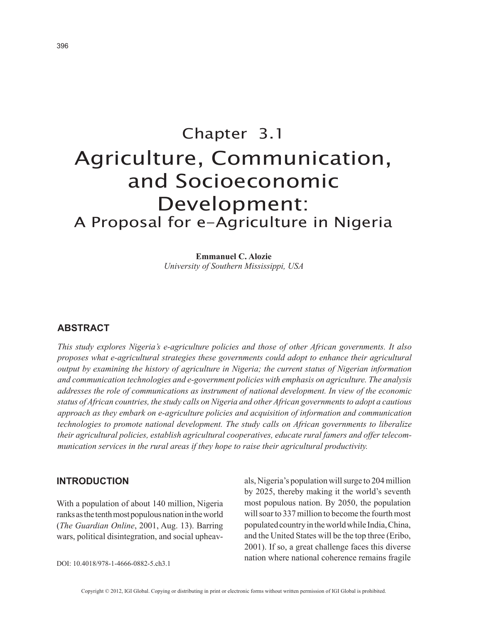# Chapter 3.1 Agriculture, Communication, and Socioeconomic Development: A Proposal for e-Agriculture in Nigeria

**Emmanuel C. Alozie** *University of Southern Mississippi, USA*

# **ABSTRACT**

*This study explores Nigeria's e-agriculture policies and those of other African governments. It also proposes what e-agricultural strategies these governments could adopt to enhance their agricultural output by examining the history of agriculture in Nigeria; the current status of Nigerian information and communication technologies and e-government policies with emphasis on agriculture. The analysis addresses the role of communications as instrument of national development. In view of the economic status of African countries, the study calls on Nigeria and other African governments to adopt a cautious approach as they embark on e-agriculture policies and acquisition of information and communication technologies to promote national development. The study calls on African governments to liberalize their agricultural policies, establish agricultural cooperatives, educate rural famers and offer telecommunication services in the rural areas if they hope to raise their agricultural productivity.*

## **INTRODUCTION**

With a population of about 140 million, Nigeria ranks as the tenth most populous nation in the world (*The Guardian Online*, 2001, Aug. 13). Barring wars, political disintegration, and social upheavals, Nigeria's population will surge to 204 million by 2025, thereby making it the world's seventh most populous nation. By 2050, the population will soar to 337 million to become the fourth most populated country in the world while India, China, and the United States will be the top three (Eribo, 2001). If so, a great challenge faces this diverse nation where national coherence remains fragile

DOI: 10.4018/978-1-4666-0882-5.ch3.1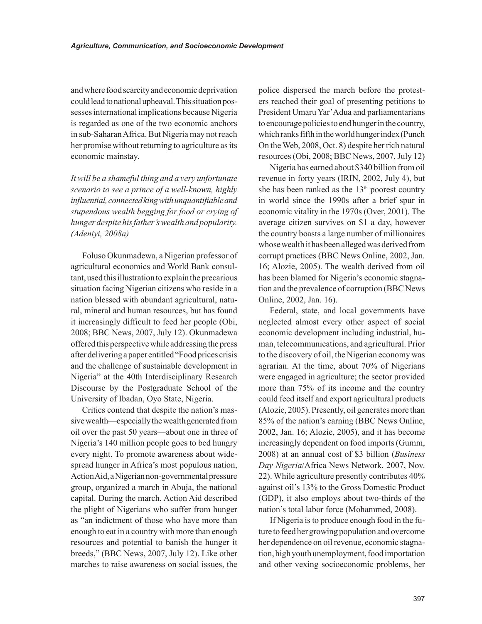and where food scarcity and economic deprivation could lead to national upheaval. This situation possesses international implications because Nigeria is regarded as one of the two economic anchors in sub-Saharan Africa. But Nigeria may not reach her promise without returning to agriculture as its economic mainstay.

*It will be a shameful thing and a very unfortunate scenario to see a prince of a well-known, highly influential, connected king with unquantifiable and stupendous wealth begging for food or crying of hunger despite his father's wealth and popularity. (Adeniyi, 2008a)* 

Foluso Okunmadewa, a Nigerian professor of agricultural economics and World Bank consultant, used this illustration to explain the precarious situation facing Nigerian citizens who reside in a nation blessed with abundant agricultural, natural, mineral and human resources, but has found it increasingly difficult to feed her people (Obi, 2008; BBC News, 2007, July 12). Okunmadewa offered this perspective while addressing the press after delivering a paper entitled "Food prices crisis and the challenge of sustainable development in Nigeria" at the 40th Interdisciplinary Research Discourse by the Postgraduate School of the University of Ibadan, Oyo State, Nigeria.

Critics contend that despite the nation's massive wealth—especially the wealth generated from oil over the past 50 years—about one in three of Nigeria's 140 million people goes to bed hungry every night. To promote awareness about widespread hunger in Africa's most populous nation, Action Aid, a Nigerian non-governmental pressure group, organized a march in Abuja, the national capital. During the march, Action Aid described the plight of Nigerians who suffer from hunger as "an indictment of those who have more than enough to eat in a country with more than enough resources and potential to banish the hunger it breeds," (BBC News, 2007, July 12). Like other marches to raise awareness on social issues, the

police dispersed the march before the protesters reached their goal of presenting petitions to President Umaru Yar'Adua and parliamentarians to encourage policies to end hunger in the country, which ranks fifth in the world hunger index (Punch On the Web, 2008, Oct. 8) despite her rich natural resources (Obi, 2008; BBC News, 2007, July 12)

Nigeria has earned about \$340 billion from oil revenue in forty years (IRIN, 2002, July 4), but she has been ranked as the  $13<sup>th</sup>$  poorest country in world since the 1990s after a brief spur in economic vitality in the 1970s (Over, 2001). The average citizen survives on \$1 a day, however the country boasts a large number of millionaires whose wealth it has been alleged was derived from corrupt practices (BBC News Online, 2002, Jan. 16; Alozie, 2005). The wealth derived from oil has been blamed for Nigeria's economic stagnation and the prevalence of corruption (BBC News Online, 2002, Jan. 16).

Federal, state, and local governments have neglected almost every other aspect of social economic development including industrial, human, telecommunications, and agricultural. Prior to the discovery of oil, the Nigerian economy was agrarian. At the time, about 70% of Nigerians were engaged in agriculture; the sector provided more than 75% of its income and the country could feed itself and export agricultural products (Alozie, 2005). Presently, oil generates more than 85% of the nation's earning (BBC News Online, 2002, Jan. 16; Alozie, 2005), and it has become increasingly dependent on food imports (Gumm, 2008) at an annual cost of \$3 billion (*Business Day Nigeria*/Africa News Network, 2007, Nov. 22). While agriculture presently contributes 40% against oil's 13% to the Gross Domestic Product (GDP), it also employs about two-thirds of the nation's total labor force (Mohammed, 2008).

If Nigeria is to produce enough food in the future to feed her growing population and overcome her dependence on oil revenue, economic stagnation, high youth unemployment, food importation and other vexing socioeconomic problems, her